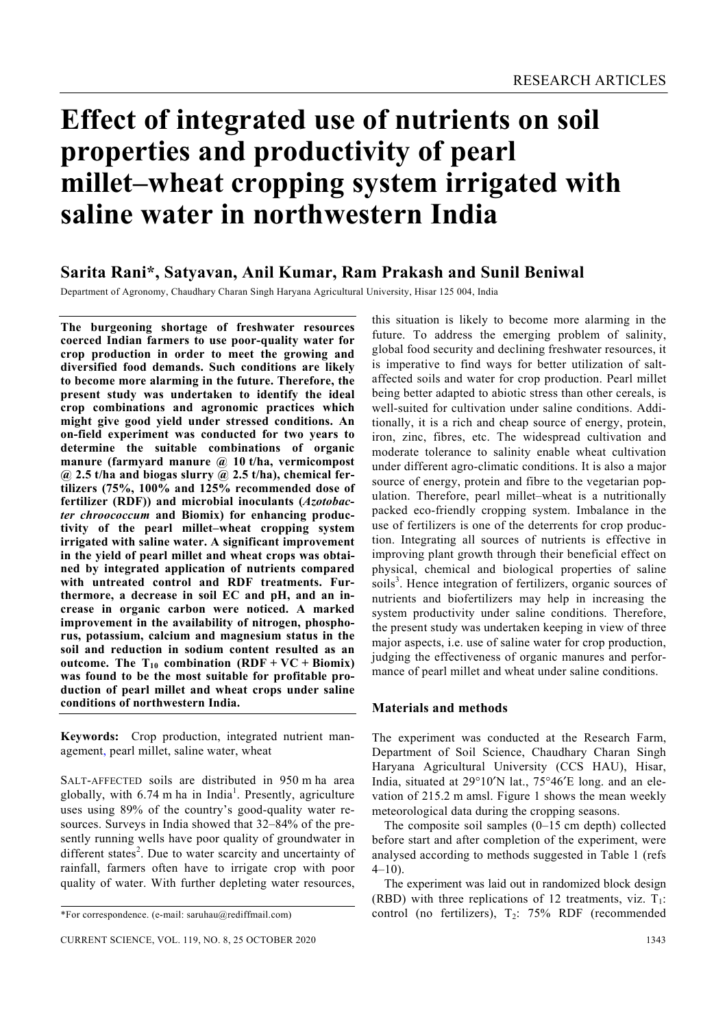# **Effect of integrated use of nutrients on soil properties and productivity of pearl millet–wheat cropping system irrigated with saline water in northwestern India**

## **Sarita Rani\*, Satyavan, Anil Kumar, Ram Prakash and Sunil Beniwal**

Department of Agronomy, Chaudhary Charan Singh Haryana Agricultural University, Hisar 125 004, India

**The burgeoning shortage of freshwater resources coerced Indian farmers to use poor-quality water for crop production in order to meet the growing and diversified food demands. Such conditions are likely to become more alarming in the future. Therefore, the present study was undertaken to identify the ideal crop combinations and agronomic practices which might give good yield under stressed conditions. An on-field experiment was conducted for two years to determine the suitable combinations of organic manure (farmyard manure @ 10 t/ha, vermicompost @ 2.5 t/ha and biogas slurry @ 2.5 t/ha), chemical fertilizers (75%, 100% and 125% recommended dose of fertilizer (RDF)) and microbial inoculants (***Azotobacter chroococcum* **and Biomix) for enhancing productivity of the pearl millet–wheat cropping system irrigated with saline water. A significant improvement in the yield of pearl millet and wheat crops was obtained by integrated application of nutrients compared with untreated control and RDF treatments. Furthermore, a decrease in soil EC and pH, and an increase in organic carbon were noticed. A marked improvement in the availability of nitrogen, phosphorus, potassium, calcium and magnesium status in the soil and reduction in sodium content resulted as an outcome.** The  $T_{10}$  combination  $(RDF + VC + Biomix)$ **was found to be the most suitable for profitable production of pearl millet and wheat crops under saline conditions of northwestern India.** 

**Keywords:** Crop production, integrated nutrient management, pearl millet, saline water, wheat

SALT-AFFECTED soils are distributed in 950 m ha area globally, with  $6.74$  m ha in India<sup>1</sup>. Presently, agriculture uses using 89% of the country's good-quality water resources. Surveys in India showed that 32–84% of the presently running wells have poor quality of groundwater in different states<sup>2</sup>. Due to water scarcity and uncertainty of rainfall, farmers often have to irrigate crop with poor quality of water. With further depleting water resources,

this situation is likely to become more alarming in the future. To address the emerging problem of salinity, global food security and declining freshwater resources, it is imperative to find ways for better utilization of saltaffected soils and water for crop production. Pearl millet being better adapted to abiotic stress than other cereals, is well-suited for cultivation under saline conditions. Additionally, it is a rich and cheap source of energy, protein, iron, zinc, fibres, etc. The widespread cultivation and moderate tolerance to salinity enable wheat cultivation under different agro-climatic conditions. It is also a major source of energy, protein and fibre to the vegetarian population. Therefore, pearl millet–wheat is a nutritionally packed eco-friendly cropping system. Imbalance in the use of fertilizers is one of the deterrents for crop production. Integrating all sources of nutrients is effective in improving plant growth through their beneficial effect on physical, chemical and biological properties of saline soils<sup>3</sup>. Hence integration of fertilizers, organic sources of nutrients and biofertilizers may help in increasing the system productivity under saline conditions. Therefore, the present study was undertaken keeping in view of three major aspects, i.e. use of saline water for crop production, judging the effectiveness of organic manures and performance of pearl millet and wheat under saline conditions.

#### **Materials and methods**

The experiment was conducted at the Research Farm, Department of Soil Science, Chaudhary Charan Singh Haryana Agricultural University (CCS HAU), Hisar, India, situated at 29°10′N lat., 75°46′E long. and an elevation of 215.2 m amsl. Figure 1 shows the mean weekly meteorological data during the cropping seasons.

 The composite soil samples (0–15 cm depth) collected before start and after completion of the experiment, were analysed according to methods suggested in Table 1 (refs  $4-10$ ).

 The experiment was laid out in randomized block design (RBD) with three replications of 12 treatments, viz.  $T_1$ : control (no fertilizers),  $T_2$ : 75% RDF (recommended

<sup>\*</sup>For correspondence. (e-mail: saruhau@rediffmail.com)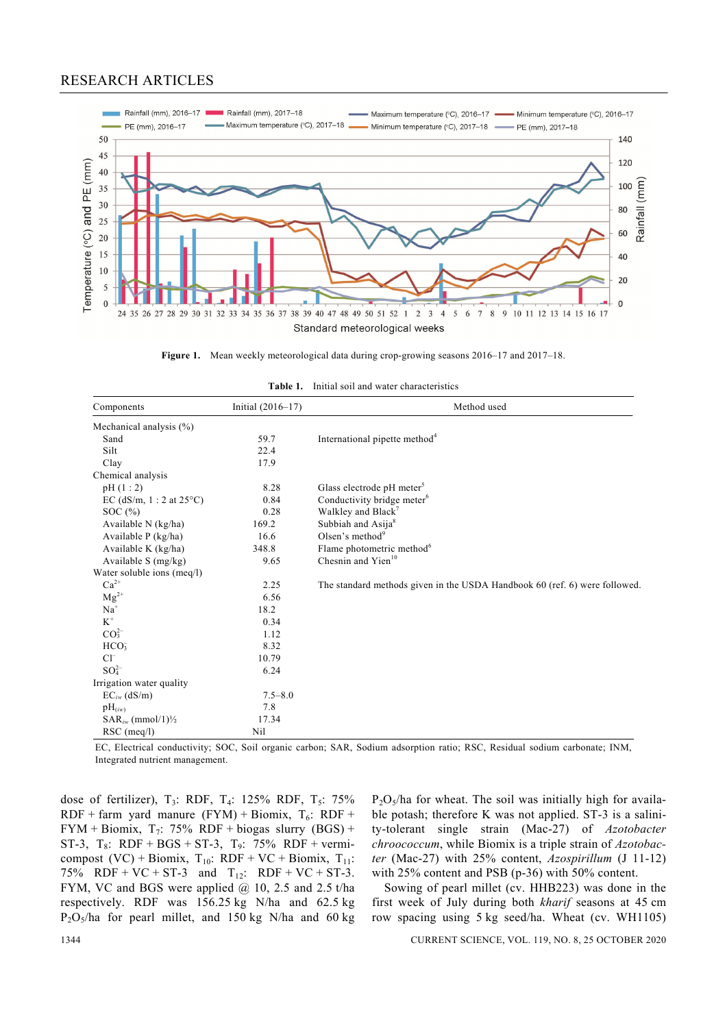## RESEARCH ARTICLES





| Components                                      | Initial (2016-17) | Method used                                                                |
|-------------------------------------------------|-------------------|----------------------------------------------------------------------------|
| Mechanical analysis (%)                         |                   |                                                                            |
| Sand                                            | 59.7              | International pipette method <sup>4</sup>                                  |
| Silt                                            | 22.4              |                                                                            |
| Clay                                            | 17.9              |                                                                            |
| Chemical analysis                               |                   |                                                                            |
| pH(1:2)                                         | 8.28              | Glass electrode pH meter <sup>5</sup>                                      |
| EC (dS/m, $1:2$ at $25^{\circ}$ C)              | 0.84              | Conductivity bridge meter <sup>6</sup>                                     |
| SOC $(\% )$                                     | 0.28              | Walkley and Black <sup>7</sup>                                             |
| Available N (kg/ha)                             | 169.2             | Subbiah and Asija <sup>8</sup>                                             |
| Available P (kg/ha)                             | 16.6              | Olsen's method $9$                                                         |
| Available K (kg/ha)                             | 348.8             | Flame photometric method <sup>6</sup>                                      |
| Available S (mg/kg)                             | 9.65              | Chesnin and Yien <sup>10</sup>                                             |
| Water soluble ions (meq/l)                      |                   |                                                                            |
| $Ca^{2+}$                                       | 2.25              | The standard methods given in the USDA Handbook 60 (ref. 6) were followed. |
| $\rm Mg^{2+}$                                   | 6.56              |                                                                            |
| $Na+$                                           | 18.2              |                                                                            |
| $\mbox{K}^+$                                    | 0.34              |                                                                            |
| CO <sub>3</sub> <sup>2</sup>                    | 1.12              |                                                                            |
| HCO <sub>3</sub>                                | 8.32              |                                                                            |
| $Cl^{-}$                                        | 10.79             |                                                                            |
| $SO_4^{2-}$                                     | 6.24              |                                                                            |
| Irrigation water quality                        |                   |                                                                            |
| $EC_{iw}$ (dS/m)                                | $7.5 - 8.0$       |                                                                            |
| $pH_{(iw)}$                                     | 7.8               |                                                                            |
| $SAR_{iw}$ (mmol/1) <sup><math>1/2</math></sup> | 17.34             |                                                                            |
| $RSC$ (meq/l)                                   | Nil               |                                                                            |

| <b>Table 1.</b> Initial soil and water characteristics |  |  |  |  |  |  |
|--------------------------------------------------------|--|--|--|--|--|--|
|--------------------------------------------------------|--|--|--|--|--|--|

EC, Electrical conductivity; SOC, Soil organic carbon; SAR, Sodium adsorption ratio; RSC, Residual sodium carbonate; INM, Integrated nutrient management.

dose of fertilizer),  $T_3$ : RDF,  $T_4$ : 125% RDF,  $T_5$ : 75% RDF + farm yard manure (FYM) + Biomix,  $T_6$ : RDF + FYM + Biomix, T<sub>7</sub>: 75% RDF + biogas slurry (BGS) + ST-3,  $T_8$ : RDF + BGS + ST-3,  $T_9$ : 75% RDF + vermicompost  $(VC)$  + Biomix,  $T_{10}$ : RDF + VC + Biomix,  $T_{11}$ : 75% RDF + VC + ST-3 and  $T_{12}$ : RDF + VC + ST-3. FYM, VC and BGS were applied @ 10, 2.5 and 2.5 t/ha respectively. RDF was 156.25 kg N/ha and 62.5 kg  $P_2O_5/ha$  for pearl millet, and 150 kg N/ha and 60 kg  $P_2O_5/ha$  for wheat. The soil was initially high for available potash; therefore K was not applied. ST-3 is a salinity-tolerant single strain (Mac-27) of *Azotobacter chroococcum*, while Biomix is a triple strain of *Azotobacter* (Mac-27) with 25% content, *Azospirillum* (J 11-12) with 25% content and PSB (p-36) with 50% content.

 Sowing of pearl millet (cv. HHB223) was done in the first week of July during both *kharif* seasons at 45 cm row spacing using 5 kg seed/ha. Wheat (cv. WH1105)

1344 CURRENT SCIENCE, VOL. 119, NO. 8, 25 OCTOBER 2020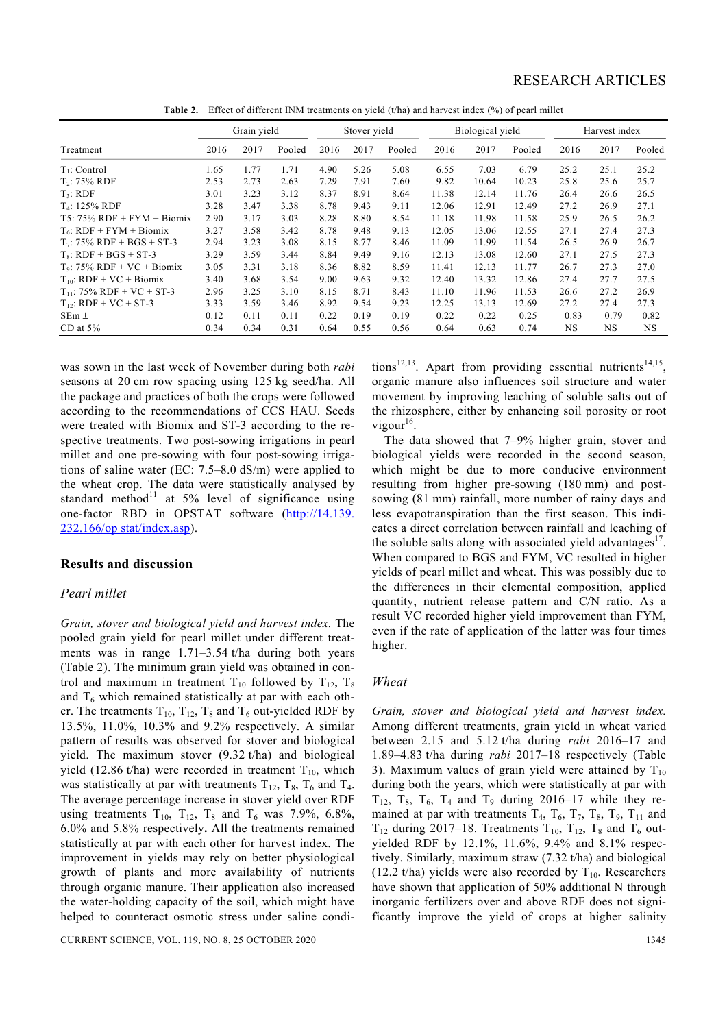|                                | Grain vield |      | Stover yield |      | Biological yield |        |       | Harvest index |        |      |      |           |
|--------------------------------|-------------|------|--------------|------|------------------|--------|-------|---------------|--------|------|------|-----------|
| Treatment                      | 2016        | 2017 | Pooled       | 2016 | 2017             | Pooled | 2016  | 2017          | Pooled | 2016 | 2017 | Pooled    |
| $T_1$ : Control                | 1.65        | 1.77 | 1.71         | 4.90 | 5.26             | 5.08   | 6.55  | 7.03          | 6.79   | 25.2 | 25.1 | 25.2      |
| $T_2$ : 75% RDF                | 2.53        | 2.73 | 2.63         | 7.29 | 7.91             | 7.60   | 9.82  | 10.64         | 10.23  | 25.8 | 25.6 | 25.7      |
| T <sub>3</sub> : RDF           | 3.01        | 3.23 | 3.12         | 8.37 | 8.91             | 8.64   | 11.38 | 12.14         | 11.76  | 26.4 | 26.6 | 26.5      |
| $T_4$ : 125% RDF               | 3.28        | 3.47 | 3.38         | 8.78 | 9.43             | 9.11   | 12.06 | 12.91         | 12.49  | 27.2 | 26.9 | 27.1      |
| $T5: 75\% RDF + FYM + Biomix$  | 2.90        | 3.17 | 3.03         | 8.28 | 8.80             | 8.54   | 11.18 | 11.98         | 11.58  | 25.9 | 26.5 | 26.2      |
| $T_6$ : RDF + FYM + Biomix     | 3.27        | 3.58 | 3.42         | 8.78 | 9.48             | 9.13   | 12.05 | 13.06         | 12.55  | 27.1 | 27.4 | 27.3      |
| $T_7$ : 75% RDF + BGS + ST-3   | 2.94        | 3.23 | 3.08         | 8.15 | 8.77             | 8.46   | 11.09 | 11.99         | 11.54  | 26.5 | 26.9 | 26.7      |
| $T_s$ : RDF + BGS + ST-3       | 3.29        | 3.59 | 3.44         | 8.84 | 9.49             | 9.16   | 12.13 | 13.08         | 12.60  | 27.1 | 27.5 | 27.3      |
| $T_9$ : 75% RDF + VC + Biomix  | 3.05        | 3.31 | 3.18         | 8.36 | 8.82             | 8.59   | 11.41 | 12.13         | 11.77  | 26.7 | 27.3 | 27.0      |
| $T_{10}$ : RDF + VC + Biomix   | 3.40        | 3.68 | 3.54         | 9.00 | 9.63             | 9.32   | 12.40 | 13.32         | 12.86  | 27.4 | 27.7 | 27.5      |
| $T_{11}$ : 75% RDF + VC + ST-3 | 2.96        | 3.25 | 3.10         | 8.15 | 8.71             | 8.43   | 11.10 | 11.96         | 11.53  | 26.6 | 27.2 | 26.9      |
| $T_{12}$ : RDF + VC + ST-3     | 3.33        | 3.59 | 3.46         | 8.92 | 9.54             | 9.23   | 12.25 | 13.13         | 12.69  | 27.2 | 27.4 | 27.3      |
| $SEm \pm$                      | 0.12        | 0.11 | 0.11         | 0.22 | 0.19             | 0.19   | 0.22  | 0.22          | 0.25   | 0.83 | 0.79 | 0.82      |
| CD at $5\%$                    | 0.34        | 0.34 | 0.31         | 0.64 | 0.55             | 0.56   | 0.64  | 0.63          | 0.74   | NS.  | NS.  | <b>NS</b> |

**Table 2.** Effect of different INM treatments on yield (t/ha) and harvest index (%) of pearl millet

was sown in the last week of November during both *rabi*  seasons at 20 cm row spacing using 125 kg seed/ha. All the package and practices of both the crops were followed according to the recommendations of CCS HAU. Seeds were treated with Biomix and ST-3 according to the respective treatments. Two post-sowing irrigations in pearl millet and one pre-sowing with four post-sowing irrigations of saline water (EC: 7.5–8.0 dS/m) were applied to the wheat crop. The data were statistically analysed by standard method<sup>11</sup> at  $5\%$  level of significance using one-factor RBD in OPSTAT software (http://14.139. 232.166/op stat/index.asp).

#### **Results and discussion**

#### *Pearl millet*

*Grain, stover and biological yield and harvest index.* The pooled grain yield for pearl millet under different treatments was in range 1.71–3.54 t/ha during both years (Table 2). The minimum grain yield was obtained in control and maximum in treatment  $T_{10}$  followed by  $T_{12}$ ,  $T_8$ and  $T<sub>6</sub>$  which remained statistically at par with each other. The treatments  $T_{10}$ ,  $T_{12}$ ,  $T_8$  and  $T_6$  out-yielded RDF by 13.5%, 11.0%, 10.3% and 9.2% respectively. A similar pattern of results was observed for stover and biological yield. The maximum stover (9.32 t/ha) and biological yield (12.86 t/ha) were recorded in treatment  $T_{10}$ , which was statistically at par with treatments  $T_{12}$ ,  $T_8$ ,  $T_6$  and  $T_4$ . The average percentage increase in stover yield over RDF using treatments  $T_{10}$ ,  $T_{12}$ ,  $T_8$  and  $T_6$  was 7.9%, 6.8%, 6.0% and 5.8% respectively**.** All the treatments remained statistically at par with each other for harvest index. The improvement in yields may rely on better physiological growth of plants and more availability of nutrients through organic manure. Their application also increased the water-holding capacity of the soil, which might have helped to counteract osmotic stress under saline conditions<sup>12,13</sup>. Apart from providing essential nutrients<sup>14,15</sup>, organic manure also influences soil structure and water movement by improving leaching of soluble salts out of the rhizosphere, either by enhancing soil porosity or root vigour $16$ .

 The data showed that 7–9% higher grain, stover and biological yields were recorded in the second season, which might be due to more conducive environment resulting from higher pre-sowing (180 mm) and postsowing (81 mm) rainfall, more number of rainy days and less evapotranspiration than the first season. This indicates a direct correlation between rainfall and leaching of the soluble salts along with associated yield advantages<sup>17</sup>. When compared to BGS and FYM, VC resulted in higher yields of pearl millet and wheat. This was possibly due to the differences in their elemental composition, applied quantity, nutrient release pattern and C/N ratio. As a result VC recorded higher yield improvement than FYM, even if the rate of application of the latter was four times higher.

#### *Wheat*

*Grain, stover and biological yield and harvest index.* Among different treatments, grain yield in wheat varied between 2.15 and 5.12 t/ha during *rabi* 2016–17 and 1.89–4.83 t/ha during *rabi* 2017–18 respectively (Table 3). Maximum values of grain yield were attained by  $T_{10}$ during both the years, which were statistically at par with  $T_{12}$ ,  $T_8$ ,  $T_6$ ,  $T_4$  and  $T_9$  during 2016–17 while they remained at par with treatments  $T_4$ ,  $T_6$ ,  $T_7$ ,  $T_8$ ,  $T_9$ ,  $T_{11}$  and  $T_{12}$  during 2017–18. Treatments  $T_{10}$ ,  $T_{12}$ ,  $T_8$  and  $T_6$  outyielded RDF by 12.1%, 11.6%, 9.4% and 8.1% respectively. Similarly, maximum straw (7.32 t/ha) and biological (12.2 t/ha) yields were also recorded by  $T_{10}$ . Researchers have shown that application of 50% additional N through inorganic fertilizers over and above RDF does not significantly improve the yield of crops at higher salinity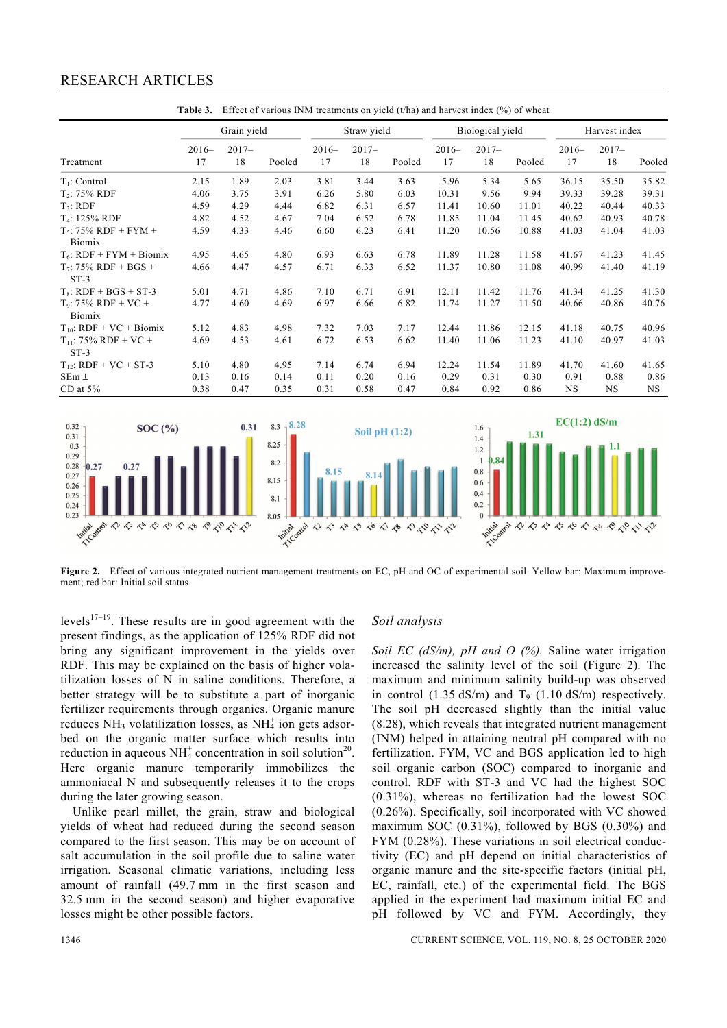## RESEARCH ARTICLES

| Treatment                           | Grain yield   |                |        | Straw yield   |               |        | Biological yield |                |        | Harvest index |                |           |
|-------------------------------------|---------------|----------------|--------|---------------|---------------|--------|------------------|----------------|--------|---------------|----------------|-----------|
|                                     | $2016-$<br>17 | $2017 -$<br>18 | Pooled | $2016-$<br>17 | $2017-$<br>18 | Pooled | $2016-$<br>17    | $2017 -$<br>18 | Pooled | $2016-$<br>17 | $2017 -$<br>18 | Pooled    |
| $T_1$ : Control                     | 2.15          | 1.89           | 2.03   | 3.81          | 3.44          | 3.63   | 5.96             | 5.34           | 5.65   | 36.15         | 35.50          | 35.82     |
| $T_2$ : 75% RDF                     | 4.06          | 3.75           | 3.91   | 6.26          | 5.80          | 6.03   | 10.31            | 9.56           | 9.94   | 39.33         | 39.28          | 39.31     |
| $T_3$ : RDF                         | 4.59          | 4.29           | 4.44   | 6.82          | 6.31          | 6.57   | 11.41            | 10.60          | 11.01  | 40.22         | 40.44          | 40.33     |
| T <sub>4</sub> : 125% RDF           | 4.82          | 4.52           | 4.67   | 7.04          | 6.52          | 6.78   | 11.85            | 11.04          | 11.45  | 40.62         | 40.93          | 40.78     |
| $T_5$ : 75% RDF + FYM +<br>Biomix   | 4.59          | 4.33           | 4.46   | 6.60          | 6.23          | 6.41   | 11.20            | 10.56          | 10.88  | 41.03         | 41.04          | 41.03     |
| $T_6$ : RDF + FYM + Biomix          | 4.95          | 4.65           | 4.80   | 6.93          | 6.63          | 6.78   | 11.89            | 11.28          | 11.58  | 41.67         | 41.23          | 41.45     |
| $T_7$ : 75% RDF + BGS +<br>$ST-3$   | 4.66          | 4.47           | 4.57   | 6.71          | 6.33          | 6.52   | 11.37            | 10.80          | 11.08  | 40.99         | 41.40          | 41.19     |
| $T_s$ : RDF + BGS + ST-3            | 5.01          | 4.71           | 4.86   | 7.10          | 6.71          | 6.91   | 12.11            | 11.42          | 11.76  | 41.34         | 41.25          | 41.30     |
| $T_9$ : 75% RDF + VC +<br>Biomix    | 4.77          | 4.60           | 4.69   | 6.97          | 6.66          | 6.82   | 11.74            | 11.27          | 11.50  | 40.66         | 40.86          | 40.76     |
| $T_{10}$ : RDF + VC + Biomix        | 5.12          | 4.83           | 4.98   | 7.32          | 7.03          | 7.17   | 12.44            | 11.86          | 12.15  | 41.18         | 40.75          | 40.96     |
| $T_{11}$ : 75% RDF + VC +<br>$ST-3$ | 4.69          | 4.53           | 4.61   | 6.72          | 6.53          | 6.62   | 11.40            | 11.06          | 11.23  | 41.10         | 40.97          | 41.03     |
| $T_{12}$ : RDF + VC + ST-3          | 5.10          | 4.80           | 4.95   | 7.14          | 6.74          | 6.94   | 12.24            | 11.54          | 11.89  | 41.70         | 41.60          | 41.65     |
| $SEm \pm$                           | 0.13          | 0.16           | 0.14   | 0.11          | 0.20          | 0.16   | 0.29             | 0.31           | 0.30   | 0.91          | 0.88           | 0.86      |
| CD at $5%$                          | 0.38          | 0.47           | 0.35   | 0.31          | 0.58          | 0.47   | 0.84             | 0.92           | 0.86   | <b>NS</b>     | NS.            | <b>NS</b> |



**Figure 2.** Effect of various integrated nutrient management treatments on EC, pH and OC of experimental soil. Yellow bar: Maximum improvement; red bar: Initial soil status.

levels<sup>17–19</sup>. These results are in good agreement with the present findings, as the application of 125% RDF did not bring any significant improvement in the yields over RDF. This may be explained on the basis of higher volatilization losses of N in saline conditions. Therefore, a better strategy will be to substitute a part of inorganic fertilizer requirements through organics. Organic manure reduces  $NH<sub>3</sub>$  volatilization losses, as  $NH<sub>4</sub>$  ion gets adsorbed on the organic matter surface which results into reduction in aqueous  $NH_4^+$  concentration in soil solution<sup>20</sup>. Here organic manure temporarily immobilizes the ammoniacal N and subsequently releases it to the crops during the later growing season.

 Unlike pearl millet, the grain, straw and biological yields of wheat had reduced during the second season compared to the first season. This may be on account of salt accumulation in the soil profile due to saline water irrigation. Seasonal climatic variations, including less amount of rainfall (49.7 mm in the first season and 32.5 mm in the second season) and higher evaporative losses might be other possible factors.

### *Soil analysis*

*Soil EC (dS/m), pH and O (%).* Saline water irrigation increased the salinity level of the soil (Figure 2). The maximum and minimum salinity build-up was observed in control (1.35 dS/m) and  $T<sub>9</sub>$  (1.10 dS/m) respectively. The soil pH decreased slightly than the initial value (8.28), which reveals that integrated nutrient management (INM) helped in attaining neutral pH compared with no fertilization. FYM, VC and BGS application led to high soil organic carbon (SOC) compared to inorganic and control. RDF with ST-3 and VC had the highest SOC (0.31%), whereas no fertilization had the lowest SOC (0.26%). Specifically, soil incorporated with VC showed maximum SOC (0.31%), followed by BGS (0.30%) and FYM (0.28%). These variations in soil electrical conductivity (EC) and pH depend on initial characteristics of organic manure and the site-specific factors (initial pH, EC, rainfall, etc.) of the experimental field. The BGS applied in the experiment had maximum initial EC and pH followed by VC and FYM. Accordingly, they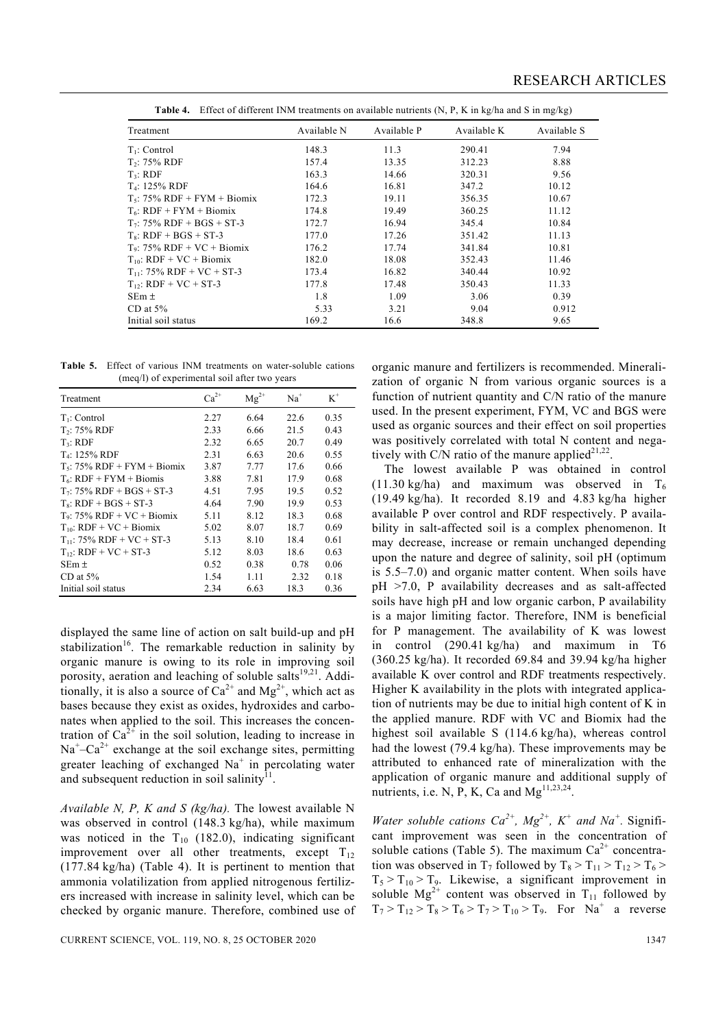| Treatment                      | Available N | Available P | Available K | Available S |  |  |  |  |  |
|--------------------------------|-------------|-------------|-------------|-------------|--|--|--|--|--|
| $T_1$ : Control                | 148.3       | 11.3        | 290.41      | 7.94        |  |  |  |  |  |
| $T_2$ : 75% RDF                | 157.4       | 13.35       | 312.23      | 8.88        |  |  |  |  |  |
| T <sub>3</sub> : RDF           | 163.3       | 14.66       | 320.31      | 9.56        |  |  |  |  |  |
| T <sub>4</sub> : 125% RDF      | 164.6       | 16.81       | 347.2       | 10.12       |  |  |  |  |  |
| $T_5$ : 75% RDF + FYM + Biomix | 172.3       | 19.11       | 356.35      | 10.67       |  |  |  |  |  |
| $T_6$ : RDF + FYM + Biomix     | 174.8       | 19.49       | 360.25      | 11.12       |  |  |  |  |  |
| $T_7$ : 75% RDF + BGS + ST-3   | 172.7       | 16.94       | 345.4       | 10.84       |  |  |  |  |  |
| $T_s$ : RDF + BGS + ST-3       | 177.0       | 17.26       | 351.42      | 11.13       |  |  |  |  |  |
| $T_9$ : 75% RDF + VC + Biomix  | 176.2       | 17.74       | 341.84      | 10.81       |  |  |  |  |  |
| $T_{10}$ : RDF + VC + Biomix   | 182.0       | 18.08       | 352.43      | 11.46       |  |  |  |  |  |
| $T_{11}$ : 75% RDF + VC + ST-3 | 173.4       | 16.82       | 340.44      | 10.92       |  |  |  |  |  |
| $T_{12}$ : RDF + VC + ST-3     | 177.8       | 17.48       | 350.43      | 11.33       |  |  |  |  |  |
| $SEm \pm$                      | 1.8         | 1.09        | 3.06        | 0.39        |  |  |  |  |  |
| CD at $5\%$                    | 5.33        | 3.21        | 9.04        | 0.912       |  |  |  |  |  |
| Initial soil status            | 169.2       | 16.6        | 348.8       | 9.65        |  |  |  |  |  |

**Table 4.** Effect of different INM treatments on available nutrients (N, P, K in kg/ha and S in mg/kg)

**Table 5.** Effect of various INM treatments on water-soluble cations (meq/l) of experimental soil after two years

| Treatment                      | $Ca^{2+}$ | $Mg^{2+}$ | $Na+$ | $K^+$ |
|--------------------------------|-----------|-----------|-------|-------|
| $T_1$ : Control                | 2.27      | 6.64      | 22.6  | 0.35  |
| T <sub>2</sub> : 75% RDF       | 2.33      | 6.66      | 21.5  | 0.43  |
| T <sub>3</sub> : RDF           | 2.32      | 6.65      | 20.7  | 0.49  |
| $T_4$ : 125% RDF               | 2.31      | 6.63      | 20.6  | 0.55  |
| $T_5$ : 75% RDF + FYM + Biomix | 3.87      | 7.77      | 17.6  | 0.66  |
| $T_6$ : RDF + FYM + Biomis     | 3.88      | 7.81      | 17.9  | 0.68  |
| $T_7$ : 75% RDF + BGS + ST-3   | 4.51      | 7.95      | 19.5  | 0.52  |
| $T_s$ : RDF + BGS + ST-3       | 4.64      | 7.90      | 19.9  | 0.53  |
| $T_9$ : 75% RDF + VC + Biomix  | 5.11      | 8.12      | 18.3  | 0.68  |
| $T_{10}$ : RDF + VC + Biomix   | 5.02      | 8.07      | 18.7  | 0.69  |
| $T_{11}$ : 75% RDF + VC + ST-3 | 5.13      | 8.10      | 18.4  | 0.61  |
| $T_{12}$ : RDF + VC + ST-3     | 5.12      | 8.03      | 18.6  | 0.63  |
| $SEm \pm$                      | 0.52      | 0.38      | 0.78  | 0.06  |
| CD at $5\%$                    | 1.54      | 1.11      | 2.32  | 0.18  |
| Initial soil status            | 2.34      | 6.63      | 18.3  | 0.36  |

displayed the same line of action on salt build-up and pH stabilization<sup>16</sup>. The remarkable reduction in salinity by organic manure is owing to its role in improving soil porosity, aeration and leaching of soluble salts $^{19,21}$ . Additionally, it is also a source of  $\widetilde{Ca}^{2+}$  and  $Mg^{2+}$ , which act as bases because they exist as oxides, hydroxides and carbonates when applied to the soil. This increases the concentration of  $Ca^{2+}$  in the soil solution, leading to increase in  $Na<sup>+</sup>-Ca<sup>2+</sup>$  exchange at the soil exchange sites, permitting greater leaching of exchanged  $Na<sup>+</sup>$  in percolating water and subsequent reduction in soil salinity $11$ .

*Available N, P, K and S (kg/ha).* The lowest available N was observed in control (148.3 kg/ha), while maximum was noticed in the  $T_{10}$  (182.0), indicating significant improvement over all other treatments, except  $T_{12}$ (177.84 kg/ha) (Table 4). It is pertinent to mention that ammonia volatilization from applied nitrogenous fertilizers increased with increase in salinity level, which can be checked by organic manure. Therefore, combined use of

organic manure and fertilizers is recommended. Mineralization of organic N from various organic sources is a function of nutrient quantity and C/N ratio of the manure used. In the present experiment, FYM, VC and BGS were used as organic sources and their effect on soil properties was positively correlated with total N content and negatively with C/N ratio of the manure applied<sup>21,22</sup>.

 The lowest available P was obtained in control  $(11.30 \text{ kg/ha})$  and maximum was observed in T<sub>6</sub> (19.49 kg/ha). It recorded 8.19 and 4.83 kg/ha higher available P over control and RDF respectively. P availability in salt-affected soil is a complex phenomenon. It may decrease, increase or remain unchanged depending upon the nature and degree of salinity, soil pH (optimum is 5.5–7.0) and organic matter content. When soils have pH >7.0, P availability decreases and as salt-affected soils have high pH and low organic carbon, P availability is a major limiting factor. Therefore, INM is beneficial for P management. The availability of K was lowest in control (290.41 kg/ha) and maximum in T6 (360.25 kg/ha). It recorded 69.84 and 39.94 kg/ha higher available K over control and RDF treatments respectively. Higher K availability in the plots with integrated application of nutrients may be due to initial high content of K in the applied manure. RDF with VC and Biomix had the highest soil available S (114.6 kg/ha), whereas control had the lowest (79.4 kg/ha). These improvements may be attributed to enhanced rate of mineralization with the application of organic manure and additional supply of nutrients, i.e. N, P, K, Ca and  $Mg^{11,23,24}$ .

*Water soluble cations*  $Ca^{2+}$ *, Mg*<sup>2+</sup>, K<sup>+</sup> and Na<sup>+</sup>. Significant improvement was seen in the concentration of soluble cations (Table 5). The maximum  $Ca<sup>2+</sup>$  concentration was observed in  $T_7$  followed by  $T_8 > T_{11} > T_{12} > T_6 >$  $T_5 > T_{10} > T_9$ . Likewise, a significant improvement in soluble  $Mg^{2+}$  content was observed in T<sub>11</sub> followed by  $T_7 > T_{12} > T_8 > T_6 > T_7 > T_{10} > T_9$ . For Na<sup>+</sup> a reverse